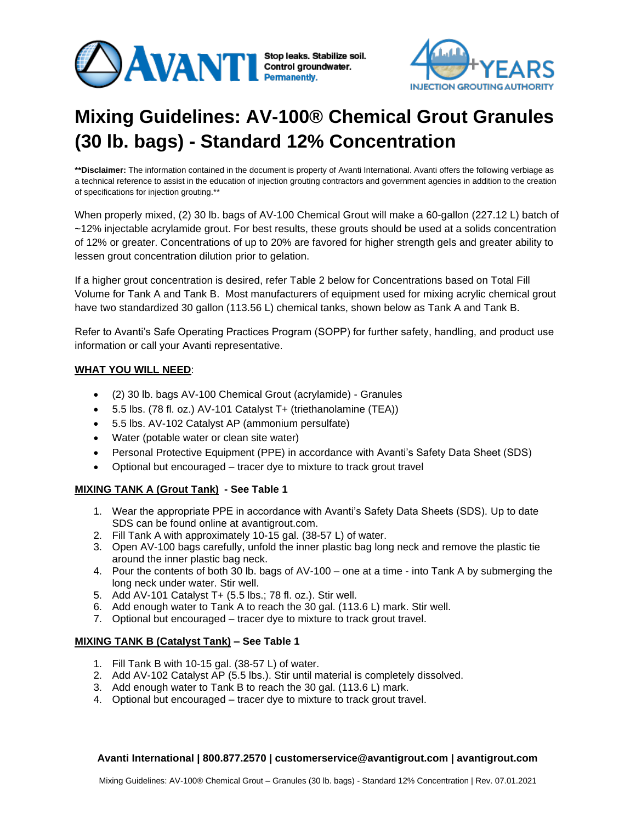



# **Mixing Guidelines: AV-100® Chemical Grout Granules (30 lb. bags) - Standard 12% Concentration**

**\*\*Disclaimer:** The information contained in the document is property of Avanti International. Avanti offers the following verbiage as a technical reference to assist in the education of injection grouting contractors and government agencies in addition to the creation of specifications for injection grouting.\*\*

When properly mixed, (2) 30 lb. bags of AV-100 Chemical Grout will make a 60-gallon (227.12 L) batch of ~12% injectable acrylamide grout. For best results, these grouts should be used at a solids concentration of 12% or greater. Concentrations of up to 20% are favored for higher strength gels and greater ability to lessen grout concentration dilution prior to gelation.

If a higher grout concentration is desired, refer Table 2 below for Concentrations based on Total Fill Volume for Tank A and Tank B. Most manufacturers of equipment used for mixing acrylic chemical grout have two standardized 30 gallon (113.56 L) chemical tanks, shown below as Tank A and Tank B.

Refer to Avanti's Safe Operating Practices Program (SOPP) for further safety, handling, and product use information or call your Avanti representative.

## **WHAT YOU WILL NEED**:

- (2) 30 lb. bags AV-100 Chemical Grout (acrylamide) Granules
- 5.5 lbs. (78 fl. oz.) AV-101 Catalyst T+ (triethanolamine (TEA))
- 5.5 lbs. AV-102 Catalyst AP (ammonium persulfate)
- Water (potable water or clean site water)
- Personal Protective Equipment (PPE) in accordance with Avanti's Safety Data Sheet (SDS)
- Optional but encouraged tracer dye to mixture to track grout travel

## **MIXING TANK A (Grout Tank) - See Table 1**

- 1. Wear the appropriate PPE in accordance with Avanti's Safety Data Sheets (SDS). Up to date SDS can be found online at avantigrout.com.
- 2. Fill Tank A with approximately 10-15 gal. (38-57 L) of water.
- 3. Open AV-100 bags carefully, unfold the inner plastic bag long neck and remove the plastic tie around the inner plastic bag neck.
- 4. Pour the contents of both 30 lb. bags of AV-100 one at a time into Tank A by submerging the long neck under water. Stir well.
- 5. Add AV-101 Catalyst T+ (5.5 lbs.; 78 fl. oz.). Stir well.
- 6. Add enough water to Tank A to reach the 30 gal. (113.6 L) mark. Stir well.
- 7. Optional but encouraged tracer dye to mixture to track grout travel.

## **MIXING TANK B (Catalyst Tank) – See Table 1**

- 1. Fill Tank B with 10-15 gal. (38-57 L) of water.
- 2. Add AV-102 Catalyst AP (5.5 lbs.). Stir until material is completely dissolved.
- 3. Add enough water to Tank B to reach the 30 gal. (113.6 L) mark.
- 4. Optional but encouraged tracer dye to mixture to track grout travel.

#### **Avanti International | 800.877.2570 | customerservice@avantigrout.com | avantigrout.com**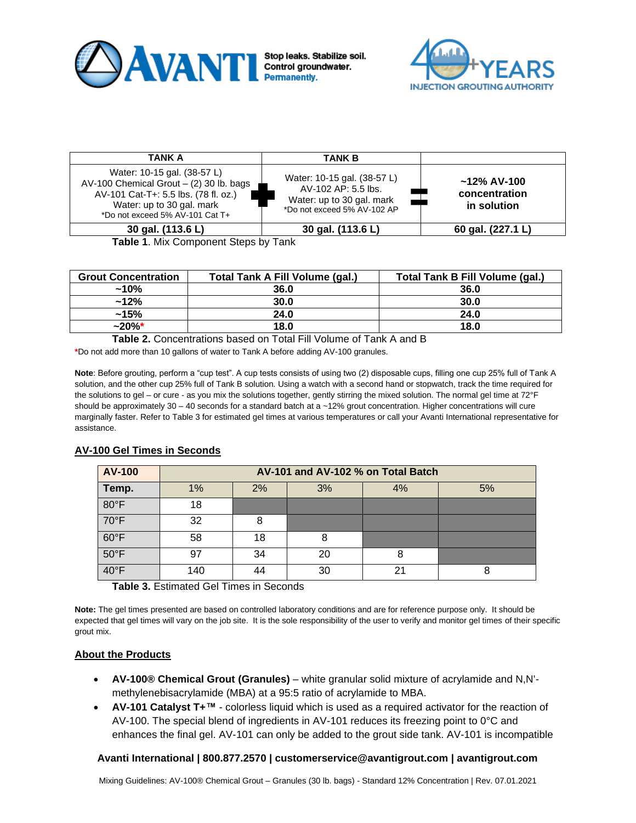



| <b>TANK A</b>                                                                                                                                                                    | <b>TANK B</b>                                                                                                  |                                                |
|----------------------------------------------------------------------------------------------------------------------------------------------------------------------------------|----------------------------------------------------------------------------------------------------------------|------------------------------------------------|
| Water: 10-15 gal. (38-57 L)<br>AV-100 Chemical Grout $-$ (2) 30 lb. bags<br>AV-101 Cat-T+: 5.5 lbs. (78 fl. oz.)<br>Water: up to 30 gal. mark<br>*Do not exceed 5% AV-101 Cat T+ | Water: 10-15 gal. (38-57 L)<br>AV-102 AP: 5.5 lbs.<br>Water: up to 30 gal. mark<br>*Do not exceed 5% AV-102 AP | $~12\%$ AV-100<br>concentration<br>in solution |
| 30 gal. (113.6 L)                                                                                                                                                                | 30 gal. (113.6 L)                                                                                              | 60 gal. (227.1 L)                              |

**Table 1**. Mix Component Steps by Tank

| <b>Grout Concentration</b> | <b>Total Tank A Fill Volume (gal.)</b> | Total Tank B Fill Volume (gal.) |  |
|----------------------------|----------------------------------------|---------------------------------|--|
| $~10\%$                    | 36.0                                   | 36.0                            |  |
| $~12\%$                    | 30.0                                   | 30.0                            |  |
| $~15\%$                    | 24.0                                   | 24.0                            |  |
| $~20\%$ *                  | 18.0                                   | 18.0                            |  |

**Table 2.** Concentrations based on Total Fill Volume of Tank A and B

**\***Do not add more than 10 gallons of water to Tank A before adding AV-100 granules.

**Note**: Before grouting, perform a "cup test". A cup tests consists of using two (2) disposable cups, filling one cup 25% full of Tank A solution, and the other cup 25% full of Tank B solution. Using a watch with a second hand or stopwatch, track the time required for the solutions to gel – or cure - as you mix the solutions together, gently stirring the mixed solution. The normal gel time at 72°F should be approximately  $30 - 40$  seconds for a standard batch at a  $~12\%$  grout concentration. Higher concentrations will cure marginally faster. Refer to Table 3 for estimated gel times at various temperatures or call your Avanti International representative for assistance.

| <b>AV-100</b>  | AV-101 and AV-102 % on Total Batch |    |    |    |    |  |
|----------------|------------------------------------|----|----|----|----|--|
| Temp.          | 1%                                 | 2% | 3% | 4% | 5% |  |
| 80°F           | 18                                 |    |    |    |    |  |
| 70°F           | 32                                 | 8  |    |    |    |  |
| $60^{\circ}$ F | 58                                 | 18 | 8  |    |    |  |
| $50^{\circ}$ F | 97                                 | 34 | 20 | 8  |    |  |
| 40°F           | 140                                | 44 | 30 | 21 | 8  |  |

## **AV-100 Gel Times in Seconds**

**Table 3.** Estimated Gel Times in Seconds

**Note:** The gel times presented are based on controlled laboratory conditions and are for reference purpose only. It should be expected that gel times will vary on the job site. It is the sole responsibility of the user to verify and monitor gel times of their specific grout mix.

## **About the Products**

- **AV-100® Chemical Grout (Granules)** white granular solid mixture of acrylamide and N,N' methylenebisacrylamide (MBA) at a 95:5 ratio of acrylamide to MBA.
- **AV-101 Catalyst T+™** colorless liquid which is used as a required activator for the reaction of AV-100. The special blend of ingredients in AV-101 reduces its freezing point to 0°C and enhances the final gel. AV-101 can only be added to the grout side tank. AV-101 is incompatible

## **Avanti International | 800.877.2570 | customerservice@avantigrout.com | avantigrout.com**